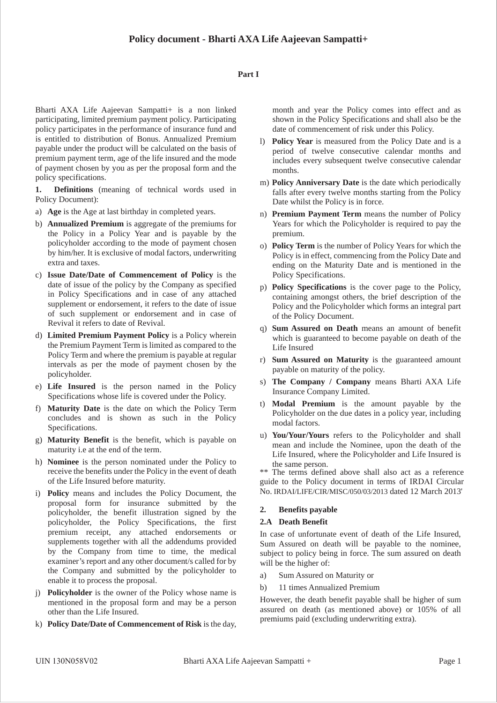#### **Part I**

Bharti AXA Life Aajeevan Sampatti+ is a non linked participating, limited premium payment policy. Participating policy participates in the performance of insurance fund and is entitled to distribution of Bonus. Annualized Premium payable under the product will be calculated on the basis of premium payment term, age of the life insured and the mode of payment chosen by you as per the proposal form and the policy specifications.

**1. Definitions** (meaning of technical words used in Policy Document):

- a) **Age** is the Age at last birthday in completed years.
- b) **Annualized Premium** is aggregate of the premiums for the Policy in a Policy Year and is payable by the policyholder according to the mode of payment chosen by him/her. It is exclusive of modal factors, underwriting extra and taxes.
- c) **Issue Date/Date of Commencement of Policy** is the date of issue of the policy by the Company as specified in Policy Specifications and in case of any attached supplement or endorsement, it refers to the date of issue of such supplement or endorsement and in case of Revival it refers to date of Revival.
- d) **Limited Premium Payment Policy** is a Policy wherein the Premium Payment Term is limited as compared to the Policy Term and where the premium is payable at regular intervals as per the mode of payment chosen by the policyholder.
- e) **Life Insured** is the person named in the Policy Specifications whose life is covered under the Policy.
- f) **Maturity Date** is the date on which the Policy Term concludes and is shown as such in the Policy Specifications.
- g) **Maturity Benefit** is the benefit, which is payable on maturity i.e at the end of the term.
- h) **Nominee** is the person nominated under the Policy to receive the benefits under the Policy in the event of death of the Life Insured before maturity.
- i) **Policy** means and includes the Policy Document, the proposal form for insurance submitted by the policyholder, the benefit illustration signed by the policyholder, the Policy Specifications, the first premium receipt, any attached endorsements or supplements together with all the addendums provided by the Company from time to time, the medical examiner's report and any other document/s called for by the Company and submitted by the policyholder to enable it to process the proposal.
- j) **Policyholder** is the owner of the Policy whose name is mentioned in the proposal form and may be a person other than the Life Insured.
- k) **Policy Date/Date of Commencement of Risk** is the day,

month and year the Policy comes into effect and as shown in the Policy Specifications and shall also be the date of commencement of risk under this Policy.

- l) **Policy Year** is measured from the Policy Date and is a period of twelve consecutive calendar months and includes every subsequent twelve consecutive calendar months.
- m) **Policy Anniversary Date** is the date which periodically falls after every twelve months starting from the Policy Date whilst the Policy is in force.
- n) **Premium Payment Term** means the number of Policy Years for which the Policyholder is required to pay the premium.
- o) **Policy Term** is the number of Policy Years for which the Policy is in effect, commencing from the Policy Date and ending on the Maturity Date and is mentioned in the Policy Specifications.
- p) **Policy Specifications** is the cover page to the Policy, containing amongst others, the brief description of the Policy and the Policyholder which forms an integral part of the Policy Document.
- q) **Sum Assured on Death** means an amount of benefit which is guaranteed to become payable on death of the Life Insured
- r) **Sum Assured on Maturity** is the guaranteed amount payable on maturity of the policy.
- s) **The Company / Company** means Bharti AXA Life Insurance Company Limited.
- t) **Modal Premium** is the amount payable by the Policyholder on the due dates in a policy year, including modal factors.
- u) **You/Your/Yours** refers to the Policyholder and shall mean and include the Nominee, upon the death of the Life Insured, where the Policyholder and Life Insured is the same person.

\*\* The terms defined above shall also act as a reference guide to the Policy document in terms of IRDAI Circular No. IRDAI/LIFE/CIR/MISC/050/03/2013 dated 12 March 2013'

#### **2. Benefits payable**

#### **2.A Death Benefit**

In case of unfortunate event of death of the Life Insured, Sum Assured on death will be payable to the nominee, subject to policy being in force. The sum assured on death will be the higher of:

- a) Sum Assured on Maturity or
- b) 11 times Annualized Premium

However, the death benefit payable shall be higher of sum assured on death (as mentioned above) or 105% of all premiums paid (excluding underwriting extra).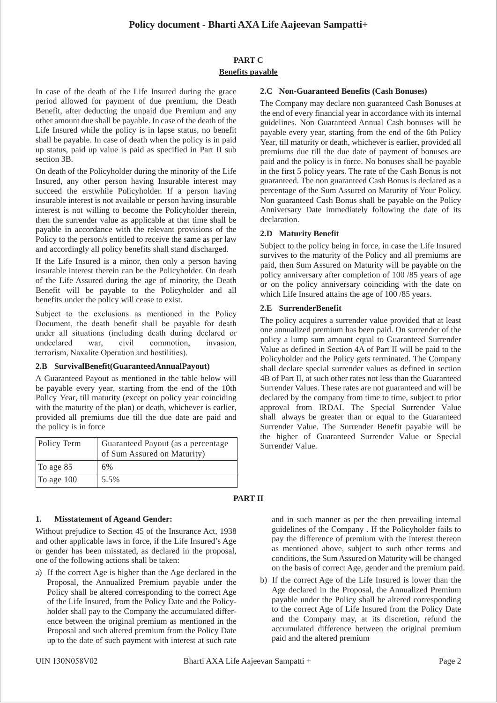# **PART C Benefits payable**

In case of the death of the Life Insured during the grace period allowed for payment of due premium, the Death Benefit, after deducting the unpaid due Premium and any other amount due shall be payable. In case of the death of the Life Insured while the policy is in lapse status, no benefit shall be payable. In case of death when the policy is in paid up status, paid up value is paid as specified in Part II sub section 3B.

On death of the Policyholder during the minority of the Life Insured, any other person having Insurable interest may succeed the erstwhile Policyholder. If a person having insurable interest is not available or person having insurable interest is not willing to become the Policyholder therein, then the surrender value as applicable at that time shall be payable in accordance with the relevant provisions of the Policy to the person/s entitled to receive the same as per law and accordingly all policy benefits shall stand discharged.

If the Life Insured is a minor, then only a person having insurable interest therein can be the Policyholder. On death of the Life Assured during the age of minority, the Death Benefit will be payable to the Policyholder and all benefits under the policy will cease to exist.

Subject to the exclusions as mentioned in the Policy Document, the death benefit shall be payable for death under all situations (including death during declared or undeclared war, civil commotion, invasion, terrorism, Naxalite Operation and hostilities).

#### **2.B SurvivalBenefit(GuaranteedAnnualPayout)**

A Guaranteed Payout as mentioned in the table below will be payable every year, starting from the end of the 10th Policy Year, till maturity (except on policy year coinciding with the maturity of the plan) or death, whichever is earlier, provided all premiums due till the due date are paid and the policy is in force

| Policy Term  | Guaranteed Payout (as a percentage<br>of Sum Assured on Maturity) |
|--------------|-------------------------------------------------------------------|
| To age 85    | 6%                                                                |
| To age $100$ | 5.5%                                                              |

# **1. Misstatement of Ageand Gender:**

Without prejudice to Section 45 of the Insurance Act, 1938 and other applicable laws in force, if the Life Insured's Age or gender has been misstated, as declared in the proposal, one of the following actions shall be taken:

a) If the correct Age is higher than the Age declared in the Proposal, the Annualized Premium payable under the Policy shall be altered corresponding to the correct Age of the Life Insured, from the Policy Date and the Policyholder shall pay to the Company the accumulated difference between the original premium as mentioned in the Proposal and such altered premium from the Policy Date up to the date of such payment with interest at such rate The Company may declare non guaranteed Cash Bonuses at the end of every financial year in accordance with its internal guidelines. Non Guaranteed Annual Cash bonuses will be payable every year, starting from the end of the 6th Policy Year, till maturity or death, whichever is earlier, provided all premiums due till the due date of payment of bonuses are paid and the policy is in force. No bonuses shall be payable in the first 5 policy years. The rate of the Cash Bonus is not guaranteed. The non guaranteed Cash Bonus is declared as a percentage of the Sum Assured on Maturity of Your Policy. Non guaranteed Cash Bonus shall be payable on the Policy Anniversary Date immediately following the date of its declaration.

#### **2.D Maturity Benefit**

Subject to the policy being in force, in case the Life Insured survives to the maturity of the Policy and all premiums are paid, then Sum Assured on Maturity will be payable on the policy anniversary after completion of 100 /85 years of age or on the policy anniversary coinciding with the date on which Life Insured attains the age of 100 /85 years.

#### **2.E SurrenderBenefit**

The policy acquires a surrender value provided that at least one annualized premium has been paid. On surrender of the policy a lump sum amount equal to Guaranteed Surrender Value as defined in Section 4A of Part II will be paid to the Policyholder and the Policy gets terminated. The Company shall declare special surrender values as defined in section 4B of Part II, at such other rates not less than the Guaranteed Surrender Values. These rates are not guaranteed and will be declared by the company from time to time, subject to prior approval from IRDAI. The Special Surrender Value shall always be greater than or equal to the Guaranteed Surrender Value. The Surrender Benefit payable will be the higher of Guaranteed Surrender Value or Special Surrender Value.

#### **PART II**

and in such manner as per the then prevailing internal guidelines of the Company . If the Policyholder fails to pay the difference of premium with the interest thereon as mentioned above, subject to such other terms and conditions, the Sum Assured on Maturity will be changed on the basis of correct Age, gender and the premium paid.

b) If the correct Age of the Life Insured is lower than the Age declared in the Proposal, the Annualized Premium payable under the Policy shall be altered corresponding to the correct Age of Life Insured from the Policy Date and the Company may, at its discretion, refund the accumulated difference between the original premium paid and the altered premium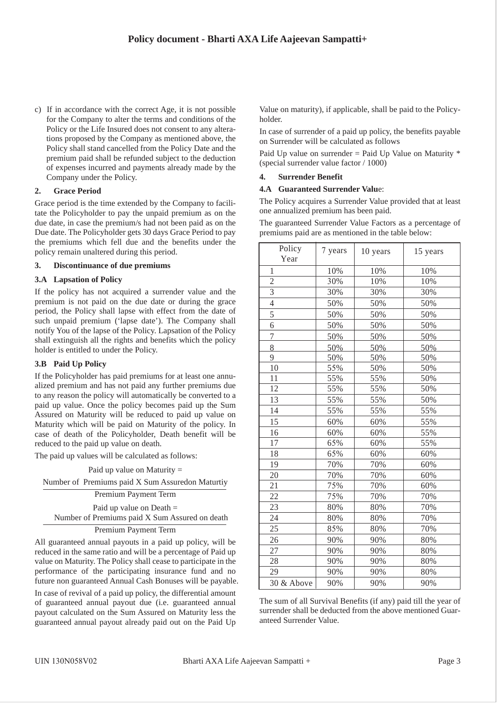c) If in accordance with the correct Age, it is not possible for the Company to alter the terms and conditions of the Policy or the Life Insured does not consent to any alterations proposed by the Company as mentioned above, the Policy shall stand cancelled from the Policy Date and the premium paid shall be refunded subject to the deduction of expenses incurred and payments already made by the Company under the Policy.

## **2. Grace Period**

Grace period is the time extended by the Company to facilitate the Policyholder to pay the unpaid premium as on the due date, in case the premium/s had not been paid as on the Due date. The Policyholder gets 30 days Grace Period to pay the premiums which fell due and the benefits under the policy remain unaltered during this period.

#### **3. Discontinuance of due premiums**

#### **3.A Lapsation of Policy**

If the policy has not acquired a surrender value and the premium is not paid on the due date or during the grace period, the Policy shall lapse with effect from the date of such unpaid premium ('lapse date'). The Company shall notify You of the lapse of the Policy. Lapsation of the Policy shall extinguish all the rights and benefits which the policy holder is entitled to under the Policy.

#### **3.B Paid Up Policy**

If the Policyholder has paid premiums for at least one annualized premium and has not paid any further premiums due to any reason the policy will automatically be converted to a paid up value. Once the policy becomes paid up the Sum Assured on Maturity will be reduced to paid up value on Maturity which will be paid on Maturity of the policy. In case of death of the Policyholder, Death benefit will be reduced to the paid up value on death.

The paid up values will be calculated as follows:

Paid up value on Maturity = Number of Premiums paid X Sum Assuredon Maturtiy Premium Payment Term Paid up value on Death =

Number of Premiums paid X Sum Assured on death

#### Premium Payment Term

All guaranteed annual payouts in a paid up policy, will be reduced in the same ratio and will be a percentage of Paid up value on Maturity. The Policy shall cease to participate in the performance of the participating insurance fund and no future non guaranteed Annual Cash Bonuses will be payable.

In case of revival of a paid up policy, the differential amount of guaranteed annual payout due (i.e. guaranteed annual payout calculated on the Sum Assured on Maturity less the guaranteed annual payout already paid out on the Paid Up

Value on maturity), if applicable, shall be paid to the Policyholder.

In case of surrender of a paid up policy, the benefits payable on Surrender will be calculated as follows

Paid Up value on surrender = Paid Up Value on Maturity \* (special surrender value factor / 1000)

#### **4. Surrender Benefit**

#### **4.A Guaranteed Surrender Valu**e:

The Policy acquires a Surrender Value provided that at least one annualized premium has been paid.

The guaranteed Surrender Value Factors as a percentage of premiums paid are as mentioned in the table below:

| Policy<br>Year | 7 years | 10 years | 15 years |
|----------------|---------|----------|----------|
| 1              | 10%     | 10%      | 10%      |
| $\overline{c}$ | 30%     | 10%      | 10%      |
| $\overline{3}$ | 30%     | 30%      | 30%      |
| $\overline{4}$ | 50%     | 50%      | 50%      |
| 5              | 50%     | 50%      | 50%      |
| 6              | 50%     | 50%      | 50%      |
| 7              | 50%     | 50%      | 50%      |
| 8              | 50%     | 50%      | 50%      |
| 9              | 50%     | 50%      | 50%      |
| 10             | 55%     | 50%      | 50%      |
| 11             | 55%     | 55%      | 50%      |
| 12             | 55%     | 55%      | 50%      |
| 13             | 55%     | 55%      | 50%      |
| 14             | 55%     | 55%      | 55%      |
| 15             | 60%     | 60%      | 55%      |
| 16             | 60%     | 60%      | 55%      |
| 17             | 65%     | 60%      | 55%      |
| 18             | 65%     | 60%      | 60%      |
| 19             | 70%     | 70%      | 60%      |
| 20             | 70%     | 70%      | 60%      |
| 21             | 75%     | 70%      | 60%      |
| 22             | 75%     | 70%      | 70%      |
| 23             | 80%     | 80%      | 70%      |
| 24             | 80%     | 80%      | 70%      |
| 25             | 85%     | 80%      | 70%      |
| 26             | 90%     | 90%      | 80%      |
| 27             | 90%     | 90%      | 80%      |
| 28             | 90%     | 90%      | 80%      |
| 29             | 90%     | 90%      | 80%      |
| 30 & Above     | 90%     | 90%      | 90%      |

The sum of all Survival Benefits (if any) paid till the year of surrender shall be deducted from the above mentioned Guaranteed Surrender Value.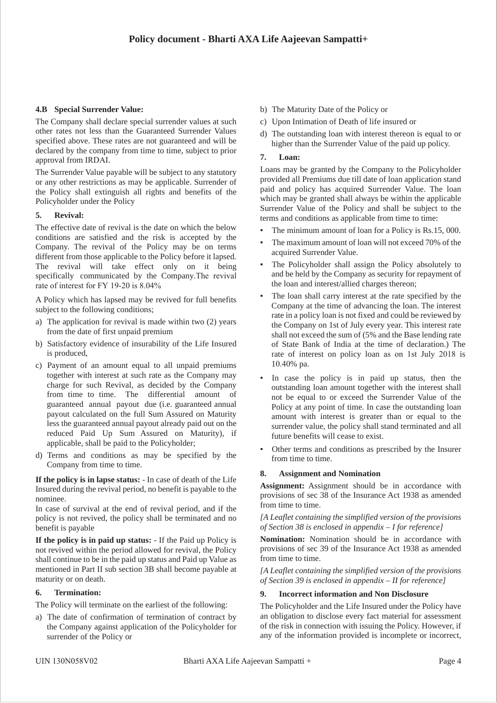# **4.B Special Surrender Value:**

The Company shall declare special surrender values at such other rates not less than the Guaranteed Surrender Values specified above. These rates are not guaranteed and will be declared by the company from time to time, subject to prior approval from IRDAI.

The Surrender Value payable will be subject to any statutory or any other restrictions as may be applicable. Surrender of the Policy shall extinguish all rights and benefits of the Policyholder under the Policy

## **5. Revival:**

The effective date of revival is the date on which the below conditions are satisfied and the risk is accepted by the Company. The revival of the Policy may be on terms different from those applicable to the Policy before it lapsed. The revival will take effect only on it being specifically communicated by the Company.The revival rate of interest for FY 19-20 is 8.04%

A Policy which has lapsed may be revived for full benefits subject to the following conditions;

- a) The application for revival is made within two (2) years from the date of first unpaid premium
- b) Satisfactory evidence of insurability of the Life Insured is produced,
- c) Payment of an amount equal to all unpaid premiums together with interest at such rate as the Company may charge for such Revival, as decided by the Company from time to time. The differential amount of guaranteed annual payout due (i.e. guaranteed annual payout calculated on the full Sum Assured on Maturity less the guaranteed annual payout already paid out on the reduced Paid Up Sum Assured on Maturity), if applicable, shall be paid to the Policyholder;
- d) Terms and conditions as may be specified by the Company from time to time.

**If the policy is in lapse status:** - In case of death of the Life Insured during the revival period, no benefit is payable to the nominee.

In case of survival at the end of revival period, and if the policy is not revived, the policy shall be terminated and no benefit is payable

**If the policy is in paid up status:** - If the Paid up Policy is not revived within the period allowed for revival, the Policy shall continue to be in the paid up status and Paid up Value as mentioned in Part II sub section 3B shall become payable at maturity or on death.

#### **6. Termination:**

The Policy will terminate on the earliest of the following:

a) The date of confirmation of termination of contract by the Company against application of the Policyholder for surrender of the Policy or

- b) The Maturity Date of the Policy or
- c) Upon Intimation of Death of life insured or
- d) The outstanding loan with interest thereon is equal to or higher than the Surrender Value of the paid up policy.

## **7. Loan:**

Loans may be granted by the Company to the Policyholder provided all Premiums due till date of loan application stand paid and policy has acquired Surrender Value. The loan which may be granted shall always be within the applicable Surrender Value of the Policy and shall be subject to the terms and conditions as applicable from time to time:

- The minimum amount of loan for a Policy is Rs.15, 000.
- The maximum amount of loan will not exceed 70% of the acquired Surrender Value.
- The Policyholder shall assign the Policy absolutely to and be held by the Company as security for repayment of the loan and interest/allied charges thereon;
- The loan shall carry interest at the rate specified by the Company at the time of advancing the loan. The interest rate in a policy loan is not fixed and could be reviewed by the Company on 1st of July every year. This interest rate shall not exceed the sum of (5% and the Base lending rate of State Bank of India at the time of declaration.) The rate of interest on policy loan as on 1st July 2018 is 10.40% pa.
- In case the policy is in paid up status, then the outstanding loan amount together with the interest shall not be equal to or exceed the Surrender Value of the Policy at any point of time. In case the outstanding loan amount with interest is greater than or equal to the surrender value, the policy shall stand terminated and all future benefits will cease to exist.
- Other terms and conditions as prescribed by the Insurer from time to time.

# **8. Assignment and Nomination**

**Assignment:** Assignment should be in accordance with provisions of sec 38 of the Insurance Act 1938 as amended from time to time.

*[A Leaflet containing the simplified version of the provisions of Section 38 is enclosed in appendix – I for reference]*

**Nomination:** Nomination should be in accordance with provisions of sec 39 of the Insurance Act 1938 as amended from time to time.

*[A Leaflet containing the simplified version of the provisions of Section 39 is enclosed in appendix – II for reference]*

#### **9. Incorrect information and Non Disclosure**

The Policyholder and the Life Insured under the Policy have an obligation to disclose every fact material for assessment of the risk in connection with issuing the Policy. However, if any of the information provided is incomplete or incorrect,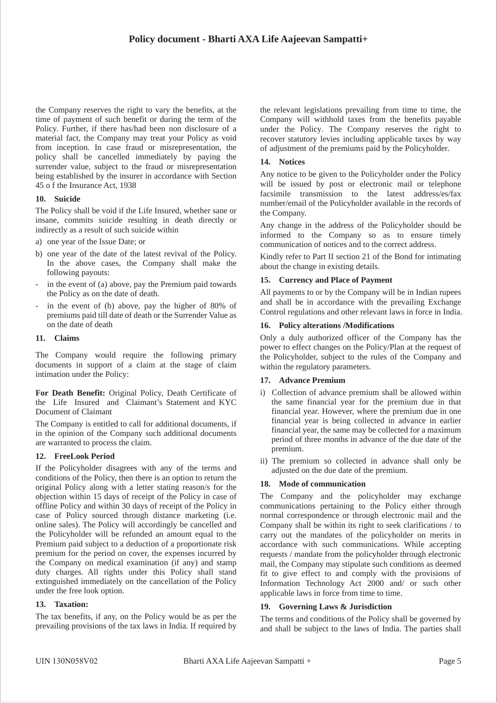the Company reserves the right to vary the benefits, at the time of payment of such benefit or during the term of the Policy. Further, if there has/had been non disclosure of a material fact, the Company may treat your Policy as void from inception. In case fraud or misrepresentation, the policy shall be cancelled immediately by paying the surrender value, subject to the fraud or misrepresentation being established by the insurer in accordance with Section 45 o f the Insurance Act, 1938

## **10. Suicide**

The Policy shall be void if the Life Insured, whether sane or insane, commits suicide resulting in death directly or indirectly as a result of such suicide within

- a) one year of the Issue Date; or
- b) one year of the date of the latest revival of the Policy. In the above cases, the Company shall make the following payouts:
- in the event of (a) above, pay the Premium paid towards the Policy as on the date of death.
- in the event of (b) above, pay the higher of 80% of premiums paid till date of death or the Surrender Value as on the date of death

#### **11. Claims**

The Company would require the following primary documents in support of a claim at the stage of claim intimation under the Policy:

**For Death Benefit:** Original Policy, Death Certificate of the Life Insured and Claimant's Statement and KYC Document of Claimant

The Company is entitled to call for additional documents, if in the opinion of the Company such additional documents are warranted to process the claim.

# **12. FreeLook Period**

If the Policyholder disagrees with any of the terms and conditions of the Policy, then there is an option to return the original Policy along with a letter stating reason/s for the objection within 15 days of receipt of the Policy in case of offline Policy and within 30 days of receipt of the Policy in case of Policy sourced through distance marketing (i.e. online sales). The Policy will accordingly be cancelled and the Policyholder will be refunded an amount equal to the Premium paid subject to a deduction of a proportionate risk premium for the period on cover, the expenses incurred by the Company on medical examination (if any) and stamp duty charges. All rights under this Policy shall stand extinguished immediately on the cancellation of the Policy under the free look option.

#### **13. Taxation:**

The tax benefits, if any, on the Policy would be as per the prevailing provisions of the tax laws in India. If required by the relevant legislations prevailing from time to time, the Company will withhold taxes from the benefits payable under the Policy. The Company reserves the right to recover statutory levies including applicable taxes by way of adjustment of the premiums paid by the Policyholder.

## **14. Notices**

Any notice to be given to the Policyholder under the Policy will be issued by post or electronic mail or telephone facsimile transmission to the latest address/es/fax number/email of the Policyholder available in the records of the Company.

Any change in the address of the Policyholder should be informed to the Company so as to ensure timely communication of notices and to the correct address.

Kindly refer to Part II section 21 of the Bond for intimating about the change in existing details.

#### **15. Currency and Place of Payment**

All payments to or by the Company will be in Indian rupees and shall be in accordance with the prevailing Exchange Control regulations and other relevant laws in force in India.

#### **16. Policy alterations /Modifications**

Only a duly authorized officer of the Company has the power to effect changes on the Policy/Plan at the request of the Policyholder, subject to the rules of the Company and within the regulatory parameters.

# **17. Advance Premium**

- i) Collection of advance premium shall be allowed within the same financial year for the premium due in that financial year. However, where the premium due in one financial year is being collected in advance in earlier financial year, the same may be collected for a maximum period of three months in advance of the due date of the premium.
- ii) The premium so collected in advance shall only be adjusted on the due date of the premium.

# **18. Mode of communication**

The Company and the policyholder may exchange communications pertaining to the Policy either through normal correspondence or through electronic mail and the Company shall be within its right to seek clarifications / to carry out the mandates of the policyholder on merits in accordance with such communications. While accepting requests / mandate from the policyholder through electronic mail, the Company may stipulate such conditions as deemed fit to give effect to and comply with the provisions of Information Technology Act 2000 and/ or such other applicable laws in force from time to time.

#### **19. Governing Laws & Jurisdiction**

The terms and conditions of the Policy shall be governed by and shall be subject to the laws of India. The parties shall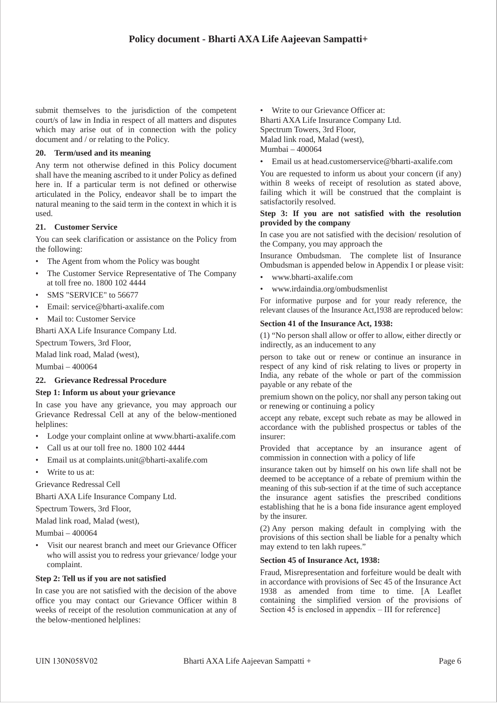submit themselves to the jurisdiction of the competent court/s of law in India in respect of all matters and disputes which may arise out of in connection with the policy document and / or relating to the Policy.

#### **20. Term/used and its meaning**

Any term not otherwise defined in this Policy document shall have the meaning ascribed to it under Policy as defined here in. If a particular term is not defined or otherwise articulated in the Policy, endeavor shall be to impart the natural meaning to the said term in the context in which it is used.

## **21. Customer Service**

You can seek clarification or assistance on the Policy from the following:

- The Agent from whom the Policy was bought
- The Customer Service Representative of The Company at toll free no. 1800 102 4444
- SMS "SERVICE" to 56677
- Email: service@bharti-axalife.com
- Mail to: Customer Service

Bharti AXA Life Insurance Company Ltd.

Spectrum Towers, 3rd Floor,

Malad link road, Malad (west),

Mumbai – 400064

# **22. Grievance Redressal Procedure**

#### **Step 1: Inform us about your grievance**

In case you have any grievance, you may approach our Grievance Redressal Cell at any of the below-mentioned helplines:

- Lodge your complaint online at www.bharti-axalife.com
- Call us at our toll free no. 1800 102 4444
- Email us at complaints.unit@bharti-axalife.com
- Write to us at:

Grievance Redressal Cell

Bharti AXA Life Insurance Company Ltd.

Spectrum Towers, 3rd Floor,

Malad link road, Malad (west),

Mumbai – 400064

Visit our nearest branch and meet our Grievance Officer who will assist you to redress your grievance/ lodge your complaint.

#### **Step 2: Tell us if you are not satisfied**

In case you are not satisfied with the decision of the above office you may contact our Grievance Officer within 8 weeks of receipt of the resolution communication at any of the below-mentioned helplines:

• Write to our Grievance Officer at:

Bharti AXA Life Insurance Company Ltd. Spectrum Towers, 3rd Floor, Malad link road, Malad (west), Mumbai – 400064

• Email us at head.customerservice@bharti-axalife.com

You are requested to inform us about your concern (if any) within 8 weeks of receipt of resolution as stated above, failing which it will be construed that the complaint is satisfactorily resolved.

#### **Step 3: If you are not satisfied with the resolution provided by the company**

In case you are not satisfied with the decision/ resolution of the Company, you may approach the

Insurance Ombudsman. The complete list of Insurance Ombudsman is appended below in Appendix I or please visit:

- www.bharti-axalife.com
- www.irdaindia.org/ombudsmenlist

For informative purpose and for your ready reference, the relevant clauses of the Insurance Act,1938 are reproduced below:

## **Section 41 of the Insurance Act, 1938:**

(1) "No person shall allow or offer to allow, either directly or indirectly, as an inducement to any

person to take out or renew or continue an insurance in respect of any kind of risk relating to lives or property in India, any rebate of the whole or part of the commission payable or any rebate of the

premium shown on the policy, nor shall any person taking out or renewing or continuing a policy

accept any rebate, except such rebate as may be allowed in accordance with the published prospectus or tables of the insurer:

Provided that acceptance by an insurance agent of commission in connection with a policy of life

insurance taken out by himself on his own life shall not be deemed to be acceptance of a rebate of premium within the meaning of this sub-section if at the time of such acceptance the insurance agent satisfies the prescribed conditions establishing that he is a bona fide insurance agent employed by the insurer.

(2) Any person making default in complying with the provisions of this section shall be liable for a penalty which may extend to ten lakh rupees."

#### **Section 45 of Insurance Act, 1938:**

Fraud, Misrepresentation and forfeiture would be dealt with in accordance with provisions of Sec 45 of the Insurance Act 1938 as amended from time to time. [A Leaflet containing the simplified version of the provisions of Section 45 is enclosed in appendix – III for reference]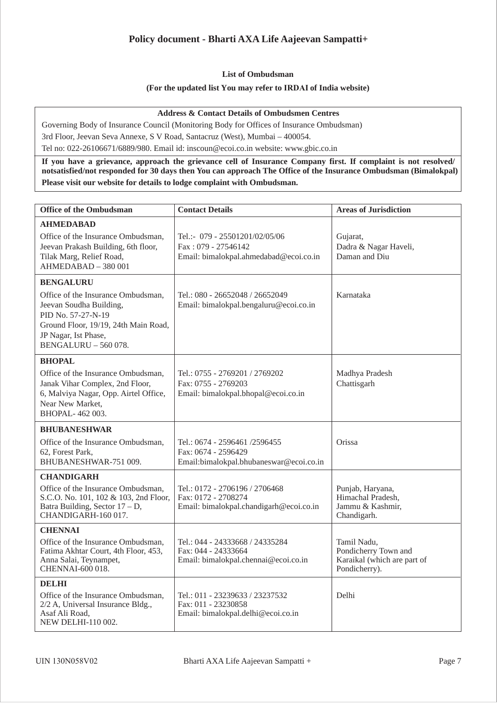# **Policy document - Bharti AXA Life Aajeevan Sampatti+**

## **List of Ombudsman**

## **(For the updated list You may refer to IRDAI of India website)**

#### **Address & Contact Details of Ombudsmen Centres**

Governing Body of Insurance Council (Monitoring Body for Offices of Insurance Ombudsman) 3rd Floor, Jeevan Seva Annexe, S V Road, Santacruz (West), Mumbai – 400054.

Tel no: 022-26106671/6889/980. Email id: inscoun@ecoi.co.in website: www.gbic.co.in

**If you have a grievance, approach the grievance cell of Insurance Company first. If complaint is not resolved/ notsatisfied/not responded for 30 days then You can approach The Office of the Insurance Ombudsman (Bimalokpal) Please visit our website for details to lodge complaint with Ombudsman.**

| <b>Office of the Ombudsman</b>                                                                                                                                                                         | <b>Contact Details</b>                                                                           | <b>Areas of Jurisdiction</b>                                                        |
|--------------------------------------------------------------------------------------------------------------------------------------------------------------------------------------------------------|--------------------------------------------------------------------------------------------------|-------------------------------------------------------------------------------------|
| <b>AHMEDABAD</b><br>Office of the Insurance Ombudsman,<br>Jeevan Prakash Building, 6th floor,<br>Tilak Marg, Relief Road,<br>AHMEDABAD - 380 001                                                       | Tel.:- 079 - 25501201/02/05/06<br>Fax: 079 - 27546142<br>Email: bimalokpal.ahmedabad@ecoi.co.in  | Gujarat,<br>Dadra & Nagar Haveli,<br>Daman and Diu                                  |
| <b>BENGALURU</b><br>Office of the Insurance Ombudsman,<br>Jeevan Soudha Building,<br>PID No. 57-27-N-19<br>Ground Floor, 19/19, 24th Main Road,<br>JP Nagar, Ist Phase,<br><b>BENGALURU - 560 078.</b> | Tel.: 080 - 26652048 / 26652049<br>Email: bimalokpal.bengaluru@ecoi.co.in                        | Karnataka                                                                           |
| <b>BHOPAL</b><br>Office of the Insurance Ombudsman,<br>Janak Vihar Complex, 2nd Floor,<br>6, Malviya Nagar, Opp. Airtel Office,<br>Near New Market,<br>BHOPAL-462003.                                  | Tel.: 0755 - 2769201 / 2769202<br>Fax: 0755 - 2769203<br>Email: bimalokpal.bhopal@ecoi.co.in     | Madhya Pradesh<br>Chattisgarh                                                       |
| <b>BHUBANESHWAR</b><br>Office of the Insurance Ombudsman,<br>62, Forest Park,<br>BHUBANESHWAR-751 009.                                                                                                 | Tel.: 0674 - 2596461 /2596455<br>Fax: 0674 - 2596429<br>Email:bimalokpal.bhubaneswar@ecoi.co.in  | Orissa                                                                              |
| <b>CHANDIGARH</b><br>Office of the Insurance Ombudsman,<br>S.C.O. No. 101, 102 & 103, 2nd Floor,<br>Batra Building, Sector $17 - D$ ,<br>CHANDIGARH-160 017.                                           | Tel.: 0172 - 2706196 / 2706468<br>Fax: 0172 - 2708274<br>Email: bimalokpal.chandigarh@ecoi.co.in | Punjab, Haryana,<br>Himachal Pradesh,<br>Jammu & Kashmir,<br>Chandigarh.            |
| <b>CHENNAI</b><br>Office of the Insurance Ombudsman,<br>Fatima Akhtar Court, 4th Floor, 453,<br>Anna Salai, Teynampet,<br>CHENNAI-600 018.                                                             | Tel.: 044 - 24333668 / 24335284<br>Fax: 044 - 24333664<br>Email: bimalokpal.chennai@ecoi.co.in   | Tamil Nadu,<br>Pondicherry Town and<br>Karaikal (which are part of<br>Pondicherry). |
| <b>DELHI</b><br>Office of the Insurance Ombudsman,<br>2/2 A, Universal Insurance Bldg.,<br>Asaf Ali Road,<br>NEW DELHI-110 002.                                                                        | Tel.: 011 - 23239633 / 23237532<br>Fax: 011 - 23230858<br>Email: bimalokpal.delhi@ecoi.co.in     | Delhi                                                                               |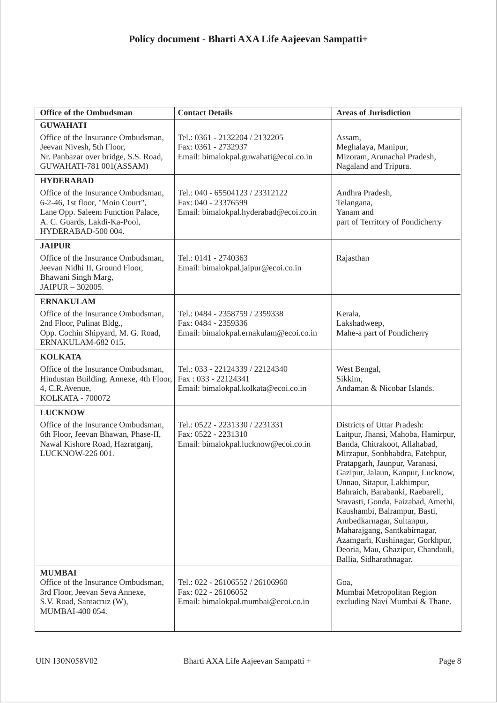| <b>Office of the Ombudsman</b>                                                                                                                                    | <b>Contact Details</b>                                                                           | <b>Areas of Jurisdiction</b>                                                                                                                                                                                                                                                                                                                                                                                                                                                                                        |
|-------------------------------------------------------------------------------------------------------------------------------------------------------------------|--------------------------------------------------------------------------------------------------|---------------------------------------------------------------------------------------------------------------------------------------------------------------------------------------------------------------------------------------------------------------------------------------------------------------------------------------------------------------------------------------------------------------------------------------------------------------------------------------------------------------------|
| <b>GUWAHATI</b>                                                                                                                                                   |                                                                                                  |                                                                                                                                                                                                                                                                                                                                                                                                                                                                                                                     |
| Office of the Insurance Ombudsman,<br>Jeevan Nivesh, 5th Floor,<br>Nr. Panbazar over bridge, S.S. Road,<br>GUWAHATI-781 001(ASSAM)                                | Tel.: 0361 - 2132204 / 2132205<br>Fax: 0361 - 2732937<br>Email: bimalokpal.guwahati@ecoi.co.in   | Assam,<br>Meghalaya, Manipur,<br>Mizoram, Arunachal Pradesh,<br>Nagaland and Tripura.                                                                                                                                                                                                                                                                                                                                                                                                                               |
| <b>HYDERABAD</b>                                                                                                                                                  |                                                                                                  |                                                                                                                                                                                                                                                                                                                                                                                                                                                                                                                     |
| Office of the Insurance Ombudsman,<br>6-2-46, 1st floor, "Moin Court",<br>Lane Opp. Saleem Function Palace,<br>A. C. Guards, Lakdi-Ka-Pool,<br>HYDERABAD-500 004. | Tel.: 040 - 65504123 / 23312122<br>Fax: 040 - 23376599<br>Email: bimalokpal.hyderabad@ecoi.co.in | Andhra Pradesh,<br>Telangana,<br>Yanam and<br>part of Territory of Pondicherry                                                                                                                                                                                                                                                                                                                                                                                                                                      |
| <b>JAIPUR</b>                                                                                                                                                     |                                                                                                  |                                                                                                                                                                                                                                                                                                                                                                                                                                                                                                                     |
| Office of the Insurance Ombudsman,<br>Jeevan Nidhi II, Ground Floor,<br>Bhawani Singh Marg,<br>JAIPUR - 302005.                                                   | Tel.: 0141 - 2740363<br>Email: bimalokpal.jaipur@ecoi.co.in                                      | Rajasthan                                                                                                                                                                                                                                                                                                                                                                                                                                                                                                           |
| <b>ERNAKULAM</b>                                                                                                                                                  |                                                                                                  |                                                                                                                                                                                                                                                                                                                                                                                                                                                                                                                     |
| Office of the Insurance Ombudsman,<br>2nd Floor, Pulinat Bldg.,<br>Opp. Cochin Shipyard, M. G. Road,<br>ERNAKULAM-682015.                                         | Tel.: 0484 - 2358759 / 2359338<br>Fax: 0484 - 2359336<br>Email: bimalokpal.ernakulam@ecoi.co.in  | Kerala,<br>Lakshadweep,<br>Mahe-a part of Pondicherry                                                                                                                                                                                                                                                                                                                                                                                                                                                               |
| <b>KOLKATA</b>                                                                                                                                                    |                                                                                                  |                                                                                                                                                                                                                                                                                                                                                                                                                                                                                                                     |
| Office of the Insurance Ombudsman,<br>Hindustan Building. Annexe, 4th Floor,<br>4, C.R. Avenue,<br><b>KOLKATA - 700072</b>                                        | Tel.: 033 - 22124339 / 22124340<br>Fax: 033 - 22124341<br>Email: bimalokpal.kolkata@ecoi.co.in   | West Bengal,<br>Sikkim,<br>Andaman & Nicobar Islands.                                                                                                                                                                                                                                                                                                                                                                                                                                                               |
| <b>LUCKNOW</b>                                                                                                                                                    |                                                                                                  |                                                                                                                                                                                                                                                                                                                                                                                                                                                                                                                     |
| Office of the Insurance Ombudsman,<br>6th Floor, Jeevan Bhawan, Phase-II,<br>Nawal Kishore Road, Hazratganj,<br>LUCKNOW-226 001.                                  | Tel.: 0522 - 2231330 / 2231331<br>Fax: 0522 - 2231310<br>Email: bimalokpal.lucknow@ecoi.co.in    | Districts of Uttar Pradesh:<br>Laitpur, Jhansi, Mahoba, Hamirpur,<br>Banda, Chitrakoot, Allahabad,<br>Mirzapur, Sonbhabdra, Fatehpur,<br>Pratapgarh, Jaunpur, Varanasi,<br>Gazipur, Jalaun, Kanpur, Lucknow,<br>Unnao, Sitapur, Lakhimpur,<br>Bahraich, Barabanki, Raebareli,<br>Sravasti, Gonda, Faizabad, Amethi,<br>Kaushambi, Balrampur, Basti,<br>Ambedkarnagar, Sultanpur,<br>Maharajgang, Santkabirnagar,<br>Azamgarh, Kushinagar, Gorkhpur,<br>Deoria, Mau, Ghazipur, Chandauli,<br>Ballia, Sidharathnagar. |
| <b>MUMBAI</b><br>Office of the Insurance Ombudsman,<br>3rd Floor, Jeevan Seva Annexe,<br>S.V. Road, Santacruz (W),<br>MUMBAI-400 054.                             | Tel.: 022 - 26106552 / 26106960<br>Fax: 022 - 26106052<br>Email: bimalokpal.mumbai@ecoi.co.in    | Goa.<br>Mumbai Metropolitan Region<br>excluding Navi Mumbai & Thane.                                                                                                                                                                                                                                                                                                                                                                                                                                                |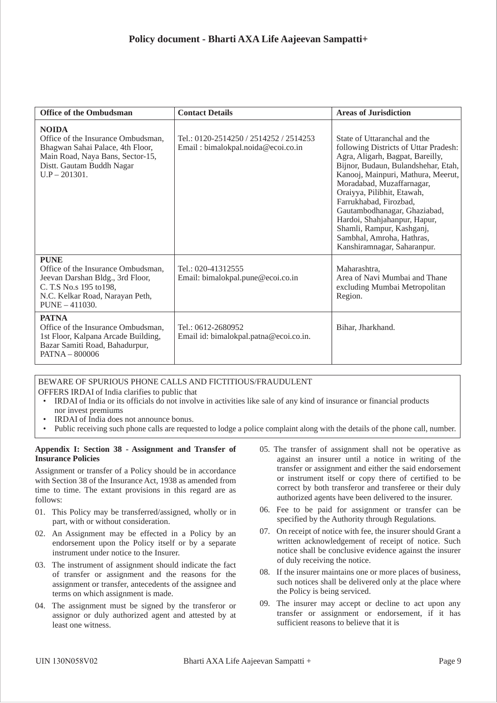| <b>Office of the Ombudsman</b>                                                                                                                                             | <b>Contact Details</b>                                                       | <b>Areas of Jurisdiction</b>                                                                                                                                                                                                                                                                                                                                                                                                         |
|----------------------------------------------------------------------------------------------------------------------------------------------------------------------------|------------------------------------------------------------------------------|--------------------------------------------------------------------------------------------------------------------------------------------------------------------------------------------------------------------------------------------------------------------------------------------------------------------------------------------------------------------------------------------------------------------------------------|
| <b>NOIDA</b><br>Office of the Insurance Ombudsman,<br>Bhagwan Sahai Palace, 4th Floor,<br>Main Road, Naya Bans, Sector-15,<br>Distt. Gautam Buddh Nagar<br>$U.P - 201301.$ | Tel.: 0120-2514250 / 2514252 / 2514253<br>Email: bimalokpal.noida@ecoi.co.in | State of Uttaranchal and the<br>following Districts of Uttar Pradesh:<br>Agra, Aligarh, Bagpat, Bareilly,<br>Bijnor, Budaun, Bulandshehar, Etah,<br>Kanooj, Mainpuri, Mathura, Meerut,<br>Moradabad, Muzaffarnagar,<br>Oraiyya, Pilibhit, Etawah,<br>Farrukhabad, Firozbad,<br>Gautambodhanagar, Ghaziabad,<br>Hardoi, Shahjahanpur, Hapur,<br>Shamli, Rampur, Kashganj,<br>Sambhal, Amroha, Hathras,<br>Kanshiramnagar, Saharanpur. |
| <b>PUNE</b><br>Office of the Insurance Ombudsman,<br>Jeevan Darshan Bldg., 3rd Floor,<br>C. T.S No.s 195 to 198,<br>N.C. Kelkar Road, Narayan Peth,<br>$PUNE - 411030.$    | Tel.: 020-41312555<br>Email: bimalokpal.pune@ecoi.co.in                      | Maharashtra,<br>Area of Navi Mumbai and Thane<br>excluding Mumbai Metropolitan<br>Region.                                                                                                                                                                                                                                                                                                                                            |
| <b>PATNA</b><br>Office of the Insurance Ombudsman,<br>1st Floor, Kalpana Arcade Building,<br>Bazar Samiti Road, Bahadurpur,<br>$PATH - 800006$                             | Tel.: 0612-2680952<br>Email id: bimalokpal.patna@ecoi.co.in.                 | Bihar, Jharkhand.                                                                                                                                                                                                                                                                                                                                                                                                                    |

# BEWARE OF SPURIOUS PHONE CALLS AND FICTITIOUS/FRAUDULENT

- OFFERS IRDAI of India clarifies to public that
- IRDAI of India or its officials do not involve in activities like sale of any kind of insurance or financial products nor invest premiums
- IRDAI of India does not announce bonus.
- Public receiving such phone calls are requested to lodge a police complaint along with the details of the phone call, number.

#### **Appendix I: Section 38 - Assignment and Transfer of Insurance Policies**

Assignment or transfer of a Policy should be in accordance with Section 38 of the Insurance Act, 1938 as amended from time to time. The extant provisions in this regard are as follows:

- 01. This Policy may be transferred/assigned, wholly or in part, with or without consideration.
- 02. An Assignment may be effected in a Policy by an endorsement upon the Policy itself or by a separate instrument under notice to the Insurer.
- 03. The instrument of assignment should indicate the fact of transfer or assignment and the reasons for the assignment or transfer, antecedents of the assignee and terms on which assignment is made.
- 04. The assignment must be signed by the transferor or assignor or duly authorized agent and attested by at least one witness.
- 05. The transfer of assignment shall not be operative as against an insurer until a notice in writing of the transfer or assignment and either the said endorsement or instrument itself or copy there of certified to be correct by both transferor and transferee or their duly authorized agents have been delivered to the insurer.
- 06. Fee to be paid for assignment or transfer can be specified by the Authority through Regulations.
- 07. On receipt of notice with fee, the insurer should Grant a written acknowledgement of receipt of notice. Such notice shall be conclusive evidence against the insurer of duly receiving the notice.
- 08. If the insurer maintains one or more places of business, such notices shall be delivered only at the place where the Policy is being serviced.
- 09. The insurer may accept or decline to act upon any transfer or assignment or endorsement, if it has sufficient reasons to believe that it is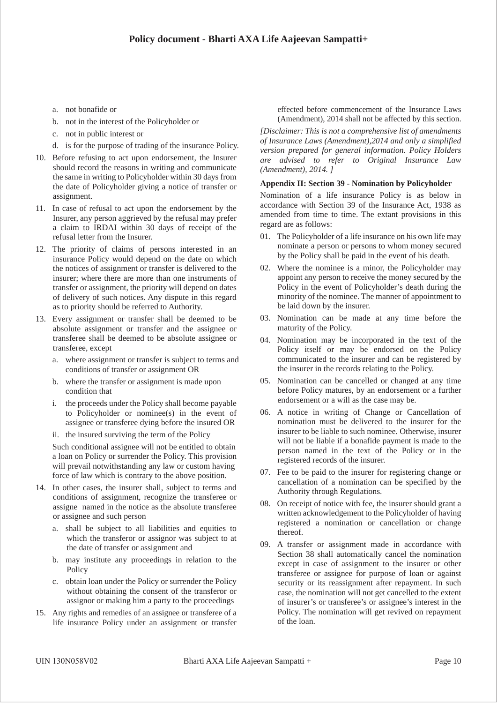- a. not bonafide or
- b. not in the interest of the Policyholder or
- c. not in public interest or
- d. is for the purpose of trading of the insurance Policy.
- 10. Before refusing to act upon endorsement, the Insurer should record the reasons in writing and communicate the same in writing to Policyholder within 30 days from the date of Policyholder giving a notice of transfer or assignment.
- 11. In case of refusal to act upon the endorsement by the Insurer, any person aggrieved by the refusal may prefer a claim to IRDAI within 30 days of receipt of the refusal letter from the Insurer.
- 12. The priority of claims of persons interested in an insurance Policy would depend on the date on which the notices of assignment or transfer is delivered to the insurer; where there are more than one instruments of transfer or assignment, the priority will depend on dates of delivery of such notices. Any dispute in this regard as to priority should be referred to Authority.
- 13. Every assignment or transfer shall be deemed to be absolute assignment or transfer and the assignee or transferee shall be deemed to be absolute assignee or transferee, except
	- a. where assignment or transfer is subject to terms and conditions of transfer or assignment OR
	- b. where the transfer or assignment is made upon condition that
	- i. the proceeds under the Policy shall become payable to Policyholder or nominee(s) in the event of assignee or transferee dying before the insured OR
	- ii. the insured surviving the term of the Policy

Such conditional assignee will not be entitled to obtain a loan on Policy or surrender the Policy. This provision will prevail notwithstanding any law or custom having force of law which is contrary to the above position.

- 14. In other cases, the insurer shall, subject to terms and conditions of assignment, recognize the transferee or assigne named in the notice as the absolute transferee or assignee and such person
	- a. shall be subject to all liabilities and equities to which the transferor or assignor was subject to at the date of transfer or assignment and
	- b. may institute any proceedings in relation to the Policy
	- c. obtain loan under the Policy or surrender the Policy without obtaining the consent of the transferor or assignor or making him a party to the proceedings
- 15. Any rights and remedies of an assignee or transferee of a life insurance Policy under an assignment or transfer

effected before commencement of the Insurance Laws (Amendment), 2014 shall not be affected by this section.

*[Disclaimer: This is not a comprehensive list of amendments of Insurance Laws (Amendment),2014 and only a simplified version prepared for general information. Policy Holders are advised to refer to Original Insurance Law (Amendment), 2014. ]*

#### **Appendix II: Section 39 - Nomination by Policyholder**

Nomination of a life insurance Policy is as below in accordance with Section 39 of the Insurance Act, 1938 as amended from time to time. The extant provisions in this regard are as follows:

- 01. The Policyholder of a life insurance on his own life may nominate a person or persons to whom money secured by the Policy shall be paid in the event of his death.
- 02. Where the nominee is a minor, the Policyholder may appoint any person to receive the money secured by the Policy in the event of Policyholder's death during the minority of the nominee. The manner of appointment to be laid down by the insurer.
- 03. Nomination can be made at any time before the maturity of the Policy.
- 04. Nomination may be incorporated in the text of the Policy itself or may be endorsed on the Policy communicated to the insurer and can be registered by the insurer in the records relating to the Policy.
- 05. Nomination can be cancelled or changed at any time before Policy matures, by an endorsement or a further endorsement or a will as the case may be.
- 06. A notice in writing of Change or Cancellation of nomination must be delivered to the insurer for the insurer to be liable to such nominee. Otherwise, insurer will not be liable if a bonafide payment is made to the person named in the text of the Policy or in the registered records of the insurer.
- 07. Fee to be paid to the insurer for registering change or cancellation of a nomination can be specified by the Authority through Regulations.
- 08. On receipt of notice with fee, the insurer should grant a written acknowledgement to the Policyholder of having registered a nomination or cancellation or change thereof.
- 09. A transfer or assignment made in accordance with Section 38 shall automatically cancel the nomination except in case of assignment to the insurer or other transferee or assignee for purpose of loan or against security or its reassignment after repayment. In such case, the nomination will not get cancelled to the extent of insurer's or transferee's or assignee's interest in the Policy. The nomination will get revived on repayment of the loan.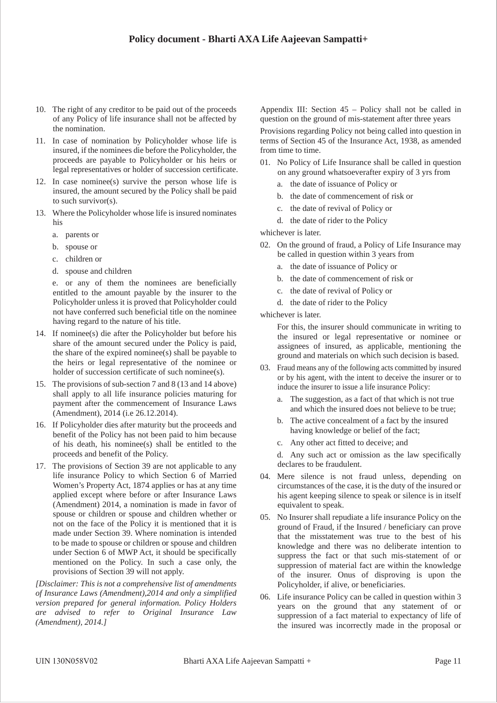- 10. The right of any creditor to be paid out of the proceeds of any Policy of life insurance shall not be affected by the nomination.
- 11. In case of nomination by Policyholder whose life is insured, if the nominees die before the Policyholder, the proceeds are payable to Policyholder or his heirs or legal representatives or holder of succession certificate.
- 12. In case nominee(s) survive the person whose life is insured, the amount secured by the Policy shall be paid to such survivor(s).
- 13. Where the Policyholder whose life is insured nominates his
	- a. parents or
	- b. spouse or
	- c. children or
	- d. spouse and children

e. or any of them the nominees are beneficially entitled to the amount payable by the insurer to the Policyholder unless it is proved that Policyholder could not have conferred such beneficial title on the nominee having regard to the nature of his title.

- 14. If nominee(s) die after the Policyholder but before his share of the amount secured under the Policy is paid, the share of the expired nominee(s) shall be payable to the heirs or legal representative of the nominee or holder of succession certificate of such nominee(s).
- 15. The provisions of sub-section 7 and 8 (13 and 14 above) shall apply to all life insurance policies maturing for payment after the commencement of Insurance Laws (Amendment), 2014 (i.e 26.12.2014).
- 16. If Policyholder dies after maturity but the proceeds and benefit of the Policy has not been paid to him because of his death, his nominee(s) shall be entitled to the proceeds and benefit of the Policy.
- 17. The provisions of Section 39 are not applicable to any life insurance Policy to which Section 6 of Married Women's Property Act, 1874 applies or has at any time applied except where before or after Insurance Laws (Amendment) 2014, a nomination is made in favor of spouse or children or spouse and children whether or not on the face of the Policy it is mentioned that it is made under Section 39. Where nomination is intended to be made to spouse or children or spouse and children under Section 6 of MWP Act, it should be specifically mentioned on the Policy. In such a case only, the provisions of Section 39 will not apply.

*[Disclaimer: This is not a comprehensive list of amendments of Insurance Laws (Amendment),2014 and only a simplified version prepared for general information. Policy Holders are advised to refer to Original Insurance Law (Amendment), 2014.]*

Appendix III: Section 45 – Policy shall not be called in question on the ground of mis-statement after three years Provisions regarding Policy not being called into question in terms of Section 45 of the Insurance Act, 1938, as amended from time to time.

- 01. No Policy of Life Insurance shall be called in question on any ground whatsoeverafter expiry of 3 yrs from
	- a. the date of issuance of Policy or
	- b. the date of commencement of risk or
	- c. the date of revival of Policy or
	- d. the date of rider to the Policy

whichever is later.

- 02. On the ground of fraud, a Policy of Life Insurance may be called in question within 3 years from
	- a. the date of issuance of Policy or
	- b. the date of commencement of risk or
	- c. the date of revival of Policy or
	- d. the date of rider to the Policy

whichever is later.

For this, the insurer should communicate in writing to the insured or legal representative or nominee or assignees of insured, as applicable, mentioning the ground and materials on which such decision is based.

- 03. Fraud means any of the following acts committed by insured or by his agent, with the intent to deceive the insurer or to induce the insurer to issue a life insurance Policy:
	- a. The suggestion, as a fact of that which is not true and which the insured does not believe to be true;
	- b. The active concealment of a fact by the insured having knowledge or belief of the fact;
	- c. Any other act fitted to deceive; and

d. Any such act or omission as the law specifically declares to be fraudulent.

- 04. Mere silence is not fraud unless, depending on circumstances of the case, it is the duty of the insured or his agent keeping silence to speak or silence is in itself equivalent to speak.
- 05. No Insurer shall repudiate a life insurance Policy on the ground of Fraud, if the Insured / beneficiary can prove that the misstatement was true to the best of his knowledge and there was no deliberate intention to suppress the fact or that such mis-statement of or suppression of material fact are within the knowledge of the insurer. Onus of disproving is upon the Policyholder, if alive, or beneficiaries.
- 06. Life insurance Policy can be called in question within 3 years on the ground that any statement of or suppression of a fact material to expectancy of life of the insured was incorrectly made in the proposal or